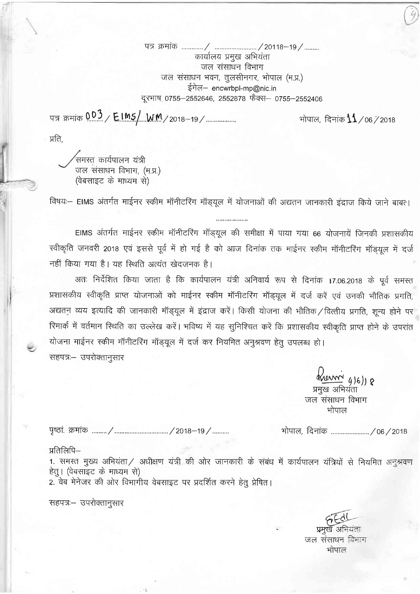कार्यालय प्रमुख अभियंता जल संसाधन विभाग जल संसाधन भवन, तुलसीनगर, भोपाल (म.प्र.) ईमेल– encwrbpl-mp@nic.in दूरभाष 0755–2552646, 2552878 फैक्स– 0755–2552406

чя क्रमांक 003 / EIMS/ WM/2018-19/

भोपाल, दिनांक $11/$ 06 $7$ 2018

प्रति.

,<br>समस्त कार्यपालन यंत्री जल संसाधन विभाग, (म.प्र.) (वेबसाइट के माध्यम से)

विषयः— EIMS अंतर्गत माईनर स्कीम मॉनीटरिंग मॉड्यूल में योजनाओं की अद्यतन जानकारी इंद्राज किये जाने बाबत।

EIMS अंतर्गत माईनर स्कीम मॉनीटरिंग मॉड्यूल की समीक्षा में पाया गया 66 योजनायें जिनकी प्रशासकीय स्वीकृति जनवरी 2018 एवं इससे पूर्व में हो गई है को आज दिनांक तक माईनर स्कीम मॉनीटरिंग मॉड्यूल में दर्ज नहीं किया गया है। यह स्थिति अत्यंत खेदजनक है।

अतः निर्देशित किया जाता है कि कार्यपालन यंत्री अनिवार्य रूप से दिनांक 17.06.2018 के पूर्व समस्त प्रशासकीय स्वीकृति प्राप्त योजनाओं को माईनर स्कीम मॉनीटरिंग मॉड्यूल में दर्ज करें एवं उनकी भौतिक प्रगति, अद्यतन व्यय इत्यादि की जानकारी मॉड्यूल में इंद्राज करें। किसी योजना की भौतिक / वित्तीय प्रगति, शून्य होने पर रिमार्क में वर्तमान स्थिति का उल्लेख करें। भविष्य में यह सुनिश्चित करें कि प्रशासकीय स्वीकृति प्राप्त होने के उपरांत योजना माईनर स्कीम मॉनीटरिंग मॉड्यूल में दर्ज कर नियमित अनुश्रवण हेतु उपलब्ध हो। सहपत्रः– उपरोक्तानुसार

> $M_{UVM}$  (16) 8 प्रमुख अभियंता जल संसाधन विभाग भोपाल

भोपाल, दिनांक ......................../06/2018

## प्रतिलिपि—

1. समस्त मुख्य अभियंता/ अधीक्षण यंत्री की ओर जानकारी के संबंध में कार्यपालन यंत्रियों से नियमित अनुश्रवण हेत् । (वेबसाइट के माध्यम से) 2. वेब मेनेजर की ओर विभागीय वेबसाइट पर प्रदर्शित करने हेतू प्रेषित।

सहपत्र:– उपरोक्तानुसार

जल संसाधन विभाग भोपाल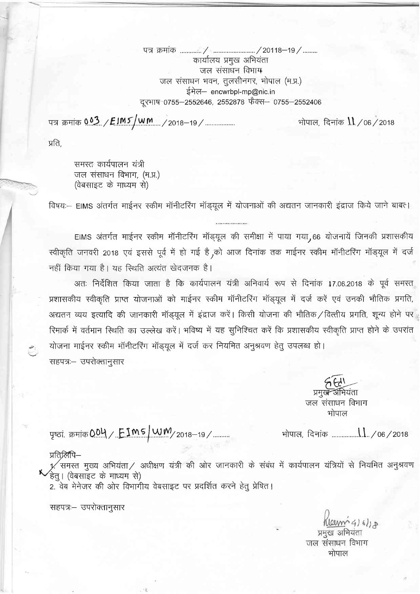q-{ mqlo / ... .''-.'/zot18-1e/. . कार्यालय प्रमुख अभियंता जल संसाधन विभाग जल संसाधन भवन, तुलसीनगर, भोपाल (म.प्र.) ईमेल- encwrbpl-mp@nic.in दूरभाष-0755-2552646, 2552878 फेक्स- 0755-2552406

पत्र क्रमांक 003 / EIM5 / W M / 2018-19 / ................

भोपाल, दिनांक  $\llbracket \cdot \rrbracket / 06 / 2018$ 

प्रति,

 $\overline{a}$ 

समस्त कार्यपालन यंत्री जल संसाधन विभाग, (म.प्र.) (वेबसाइट के माध्यम से)

fdषय:- EIMS अंतर्गत माईनर स्कीम मॉनीटरिंग मॉड्यूल में योजनाओं की अद्यतन जानकारी इंद्राज किये जाने बाबत।

EIMS अंतर्गत माईनर स्कीम मॉनीटरिंग मॉड्यूल की समीक्षा में पाया गया, 66 योजनायें जिनकी प्रशासकीय स्वीकृति जनवरी 2018 एवं इससे पूर्व में हो गई है ,को आज दिनांक तक माईनर स्कीम मॉनीटरिंग मॉड्यूल में दर्ज नहीं किया गया है। यह स्थिति अत्यंत खेदजनक है।

अतः निर्देशित किया जाता है कि कार्यपालन यंत्री अनिवार्य रूप से दिनांक 17.06.2018 के पूर्व समस्त प्रशासकीय स्वीकृति प्राप्त योजनाओं को माईनर स्कीम मॉनीटरिंग मॉड्यूल में दर्ज करें एवं उनकी भौतिक प्रगति, अद्यतन व्यय इत्यादि की जानकारी मॉड्यूल में इंद्राज करें। किसी योजना की भौतिक $\diagup$ वित्तीय प्रगति, शून्य होने पर रिमार्क में वर्तमान स्थिति का उल्लेख करें। भविष्य में यह सुनिश्चित करें कि प्रशासकीय स्वीकृति प्राप्त होने के उपरांत योजना माईनर स्कीम मॉनीटरिंग मॉड्यूल में दर्ज कर नियमित अनुश्रवण हेतु उपलब्ध हो। सहपत्र:- उपरोक्तानुसार

> प्रमुखे अभियंता जल संसाधन विभाग भोपाल

dq|d, fu{i@ .ti / oa /zoft

पृष्ठां. क्रमांक**004 / <u>FIMS/WM</u>/2018–19/....**.

## प्रतिर्लिपि—

 $\checkmark$ 

 $\nu'$ समस्त मुख्य अभियंता / अधीक्षण यंत्री की ओर जानकारी के संबंध में कार्यपालन यंत्रियों से नियमित अनुश्रवण<br>हेतु। (वेबसाइट के माध्यम से)

2. वेब मेनेजर की ओर विभागीय वेबसाइट पर प्रदर्शित करने हेतु प्रेषित।

'सहपत्रः– उपरोक्तानुसार

Kleenn 4) 6/10 प्रमुख अभियंता जल संसाधन विभाग भोपाल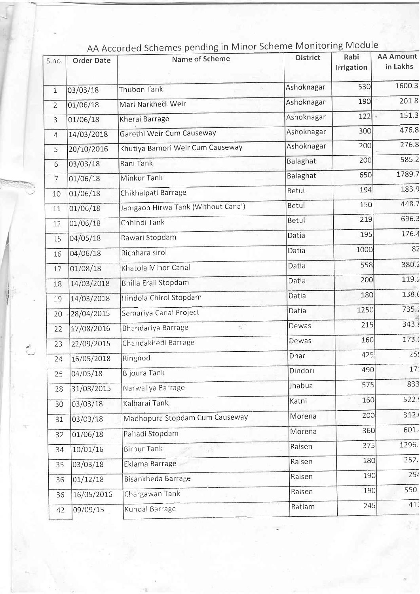| S.no.          | <b>Order Date</b> | AA Accorded Schemes pending in Wilhor Scheme Monitoring Moddle<br>Name of Scheme | <b>District</b> | Rabi<br>Irrigation | <b>AA Amount</b><br>in Lakhs |
|----------------|-------------------|----------------------------------------------------------------------------------|-----------------|--------------------|------------------------------|
| $\mathbf{1}$   | 03/03/18          | <b>Thubon Tank</b>                                                               | Ashoknagar      | 530                | 1600.3                       |
| $\overline{2}$ | 01/06/18          | Mari Narkhedi Weir                                                               | Ashoknagar      | 190                | 201.8                        |
| $\overline{3}$ | 01/06/18          | Kherai Barrage                                                                   | Ashoknagar      | $122 -$            | 151.3                        |
| $\overline{4}$ | 14/03/2018        | Garethi Weir Cum Causeway                                                        | Ashoknagar      | 300                | 476.8                        |
| 5              | 20/10/2016        | Khutiya Bamori Weir Cum Causeway                                                 | Ashoknagar      | 200                | 276.8                        |
| 6              | 03/03/18          | Rani Tank                                                                        | Balaghat        | 200                | 585.2                        |
| $\overline{7}$ | 01/06/18          | Minkur Tank                                                                      | Balaghat        | 650                | 1789.7                       |
| 10             | 01/06/18          | Chikhalpati Barrage                                                              | Betul           | 194                | 183.9                        |
| 11             | 01/06/18          | Jamgaon Hirwa Tank (Without Canal)                                               | Betul           | 150                | 448.7                        |
| 12             | 01/06/18          | Chhindi Tank                                                                     | Betul           | 219                | 696.3                        |
| 15             | 04/05/18          | Rawari Stopdam                                                                   | Datia           | 195                | 176.4                        |
| 16             | 04/06/18          | Richhara sirol                                                                   | Datia           | 1000               | 82                           |
| 17             | 01/08/18          | Khatola Minor Canal                                                              | Datia           | 558                | 380.2                        |
| 18             | 14/03/2018        | Bhilla Eraii Stopdam                                                             | Datia           | 200                | 119.2                        |
| 19             | 14/03/2018        | Hindola Chirol Stopdam                                                           | Datia           | 180                | 138.0                        |
| 20             | 28/04/2015        | Semariya Canal Project                                                           | Datia           | 1250               | 735.                         |
| 22             | 17/08/2016        | Bhandariya Barrage                                                               | Dewas           | 215                | 343.                         |
| 23             | 22/09/2015        | Chandakhedi Barrage                                                              | Dewas           | 160                | 173.                         |
| 24             | 16/05/2018        | Ringnod                                                                          | Dhar            | 425                | 25                           |
| 25             | 04/05/18          | <b>Bijoura Tank</b>                                                              | Dindori         | 490                | 17                           |
| 28             | 31/08/2015        | Narwaliya Barrage                                                                | Jhabua          | 575                | 833                          |
| 30             | 03/03/18          | Kalharai Tank                                                                    | Katni           | 160                | 522.                         |
| 31             | 03/03/18          | Madhopura Stopdam Cum Causeway                                                   | Morena          | 200                | 312.                         |
| 32             | 01/06/18          | Pahadi Stopdam                                                                   | Morena          | 360                | 601.                         |
| 34             | 10/01/16          | <b>Birpur Tank</b>                                                               | Raisen          | 375                | 1296.                        |
| 35             | 03/03/18          | Eklama Barrage                                                                   | Raisen          | 180                | 252.                         |
| 36             | 01/12/18          | Bisankheda Barrage                                                               | Raisen          | 190                | 254                          |
| 36             | 16/05/2016        | Chargawan Tank                                                                   | Raisen          | 190                | 550.                         |
| 42             | 09/09/15          | Kundal Barrage                                                                   | Ratlam          | 245                | 41                           |

## dule